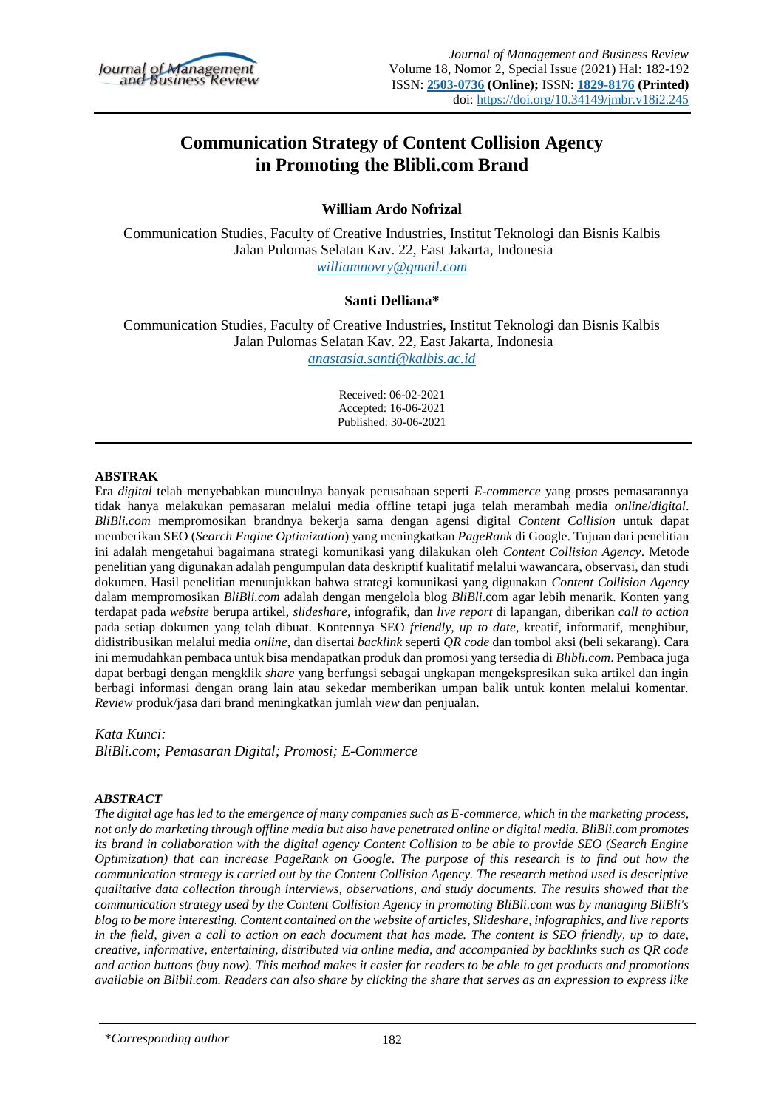

# **Communication Strategy of Content Collision Agency in Promoting the Blibli.com Brand**

### **William Ardo Nofrizal**

Communication Studies, Faculty of Creative Industries, Institut Teknologi dan Bisnis Kalbis Jalan Pulomas Selatan Kav. 22, East Jakarta, Indonesia *williamnovry@gmail.com*

#### **Santi Delliana\***

Communication Studies, Faculty of Creative Industries, Institut Teknologi dan Bisnis Kalbis Jalan Pulomas Selatan Kav. 22, East Jakarta, Indonesia *anastasia.santi@kalbis.ac.id*

> Received: 06-02-2021 Accepted: 16-06-2021 Published: 30-06-2021

#### **ABSTRAK**

Era *digital* telah menyebabkan munculnya banyak perusahaan seperti *E-commerce* yang proses pemasarannya tidak hanya melakukan pemasaran melalui media offline tetapi juga telah merambah media *online*/*digital*. *BliBli.com* mempromosikan brandnya bekerja sama dengan agensi digital *Content Collision* untuk dapat memberikan SEO (*Search Engine Optimization*) yang meningkatkan *PageRank* di Google. Tujuan dari penelitian ini adalah mengetahui bagaimana strategi komunikasi yang dilakukan oleh *Content Collision Agency*. Metode penelitian yang digunakan adalah pengumpulan data deskriptif kualitatif melalui wawancara, observasi, dan studi dokumen. Hasil penelitian menunjukkan bahwa strategi komunikasi yang digunakan *Content Collision Agency* dalam mempromosikan *BliBli.com* adalah dengan mengelola blog *BliBli*.com agar lebih menarik. Konten yang terdapat pada *website* berupa artikel, *slideshare*, infografik, dan *live report* di lapangan, diberikan *call to action* pada setiap dokumen yang telah dibuat. Kontennya SEO *friendly, up to date*, kreatif, informatif, menghibur, didistribusikan melalui media *online*, dan disertai *backlink* seperti *QR code* dan tombol aksi (beli sekarang). Cara ini memudahkan pembaca untuk bisa mendapatkan produk dan promosi yang tersedia di *Blibli.com*. Pembaca juga dapat berbagi dengan mengklik *share* yang berfungsi sebagai ungkapan mengekspresikan suka artikel dan ingin berbagi informasi dengan orang lain atau sekedar memberikan umpan balik untuk konten melalui komentar. *Review* produk/jasa dari brand meningkatkan jumlah *view* dan penjualan.

*Kata Kunci:* 

*BliBli.com; Pemasaran Digital; Promosi; E-Commerce*

#### *ABSTRACT*

*The digital age has led to the emergence of many companies such as E-commerce, which in the marketing process, not only do marketing through offline media but also have penetrated online or digital media. BliBli.com promotes its brand in collaboration with the digital agency Content Collision to be able to provide SEO (Search Engine Optimization) that can increase PageRank on Google. The purpose of this research is to find out how the communication strategy is carried out by the Content Collision Agency. The research method used is descriptive qualitative data collection through interviews, observations, and study documents. The results showed that the communication strategy used by the Content Collision Agency in promoting BliBli.com was by managing BliBli's blog to be more interesting. Content contained on the website of articles, Slideshare, infographics, and live reports in the field, given a call to action on each document that has made. The content is SEO friendly, up to date, creative, informative, entertaining, distributed via online media, and accompanied by backlinks such as QR code and action buttons (buy now). This method makes it easier for readers to be able to get products and promotions available on Blibli.com. Readers can also share by clicking the share that serves as an expression to express like* 

<sup>\*</sup>*Corresponding author*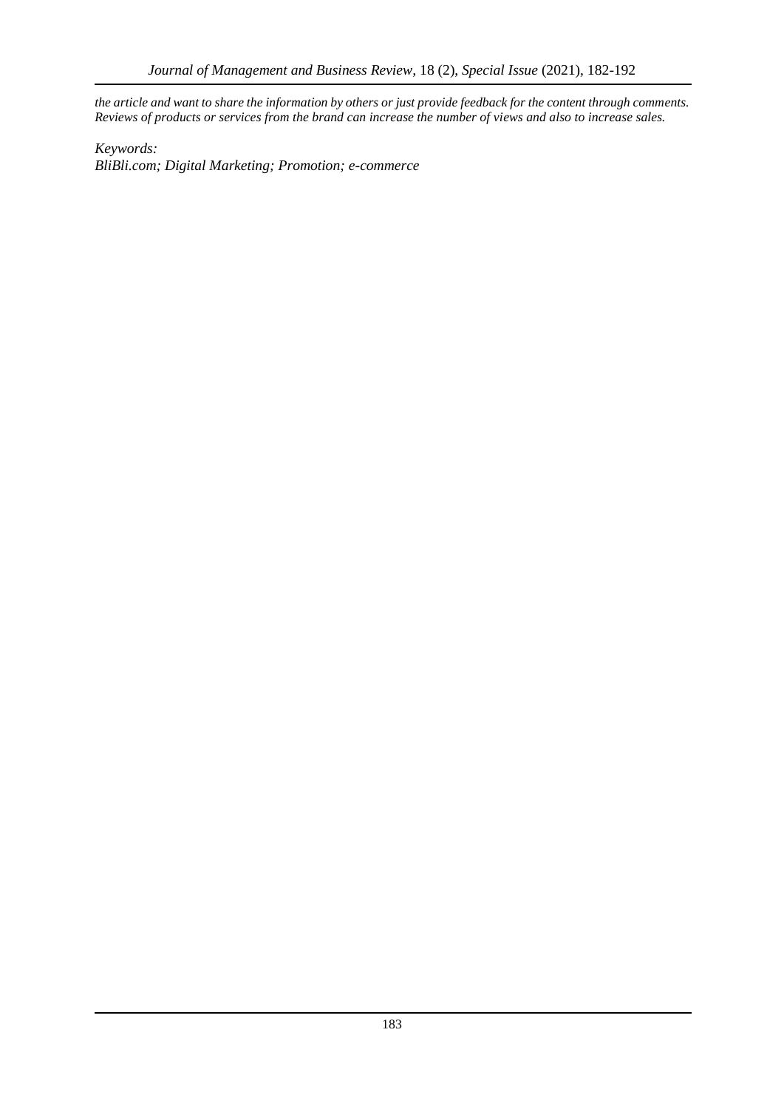*the article and want to share the information by others or just provide feedback for the content through comments. Reviews of products or services from the brand can increase the number of views and also to increase sales.*

*Keywords: BliBli.com; Digital Marketing; Promotion; e-commerce*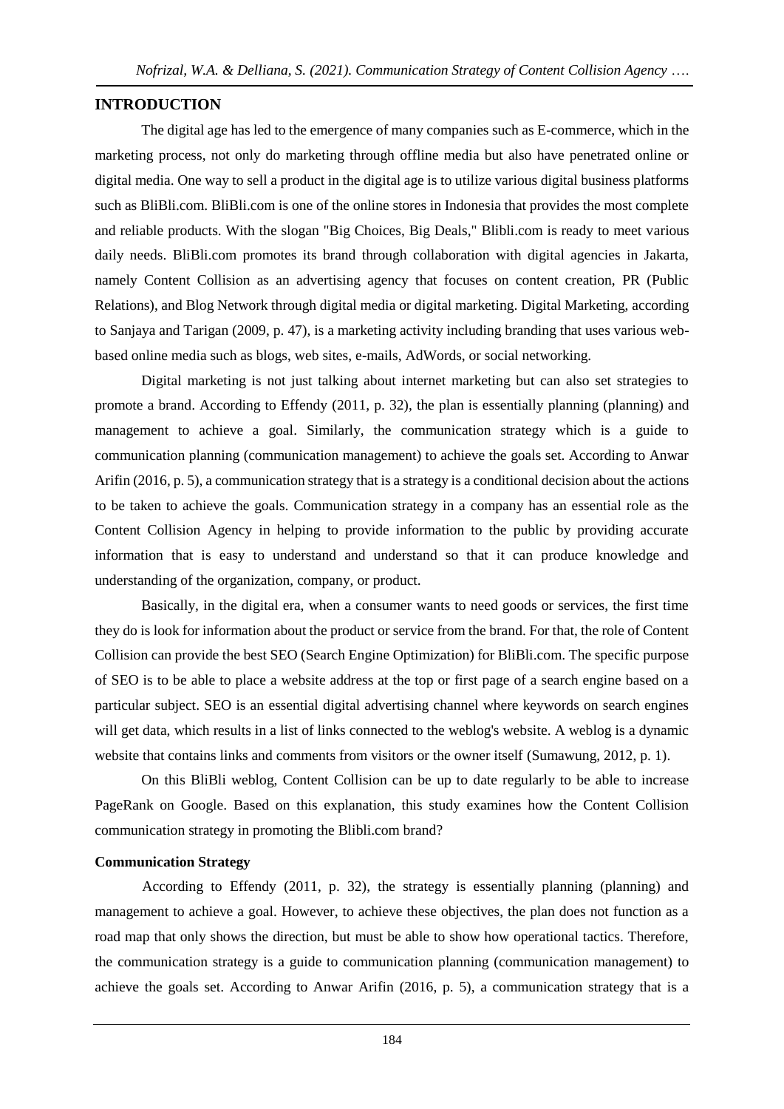### **INTRODUCTION**

The digital age has led to the emergence of many companies such as E-commerce, which in the marketing process, not only do marketing through offline media but also have penetrated online or digital media. One way to sell a product in the digital age is to utilize various digital business platforms such as BliBli.com. BliBli.com is one of the online stores in Indonesia that provides the most complete and reliable products. With the slogan "Big Choices, Big Deals," Blibli.com is ready to meet various daily needs. BliBli.com promotes its brand through collaboration with digital agencies in Jakarta, namely Content Collision as an advertising agency that focuses on content creation, PR (Public Relations), and Blog Network through digital media or digital marketing. Digital Marketing, according to Sanjaya and Tarigan (2009, p. 47), is a marketing activity including branding that uses various webbased online media such as blogs, web sites, e-mails, AdWords, or social networking.

Digital marketing is not just talking about internet marketing but can also set strategies to promote a brand. According to Effendy (2011, p. 32), the plan is essentially planning (planning) and management to achieve a goal. Similarly, the communication strategy which is a guide to communication planning (communication management) to achieve the goals set. According to Anwar Arifin (2016, p. 5), a communication strategy that is a strategy is a conditional decision about the actions to be taken to achieve the goals. Communication strategy in a company has an essential role as the Content Collision Agency in helping to provide information to the public by providing accurate information that is easy to understand and understand so that it can produce knowledge and understanding of the organization, company, or product.

Basically, in the digital era, when a consumer wants to need goods or services, the first time they do is look for information about the product or service from the brand. For that, the role of Content Collision can provide the best SEO (Search Engine Optimization) for BliBli.com. The specific purpose of SEO is to be able to place a website address at the top or first page of a search engine based on a particular subject. SEO is an essential digital advertising channel where keywords on search engines will get data, which results in a list of links connected to the weblog's website. A weblog is a dynamic website that contains links and comments from visitors or the owner itself (Sumawung, 2012, p. 1).

On this BliBli weblog, Content Collision can be up to date regularly to be able to increase PageRank on Google. Based on this explanation, this study examines how the Content Collision communication strategy in promoting the Blibli.com brand?

### **Communication Strategy**

According to Effendy (2011, p. 32), the strategy is essentially planning (planning) and management to achieve a goal. However, to achieve these objectives, the plan does not function as a road map that only shows the direction, but must be able to show how operational tactics. Therefore, the communication strategy is a guide to communication planning (communication management) to achieve the goals set. According to Anwar Arifin (2016, p. 5), a communication strategy that is a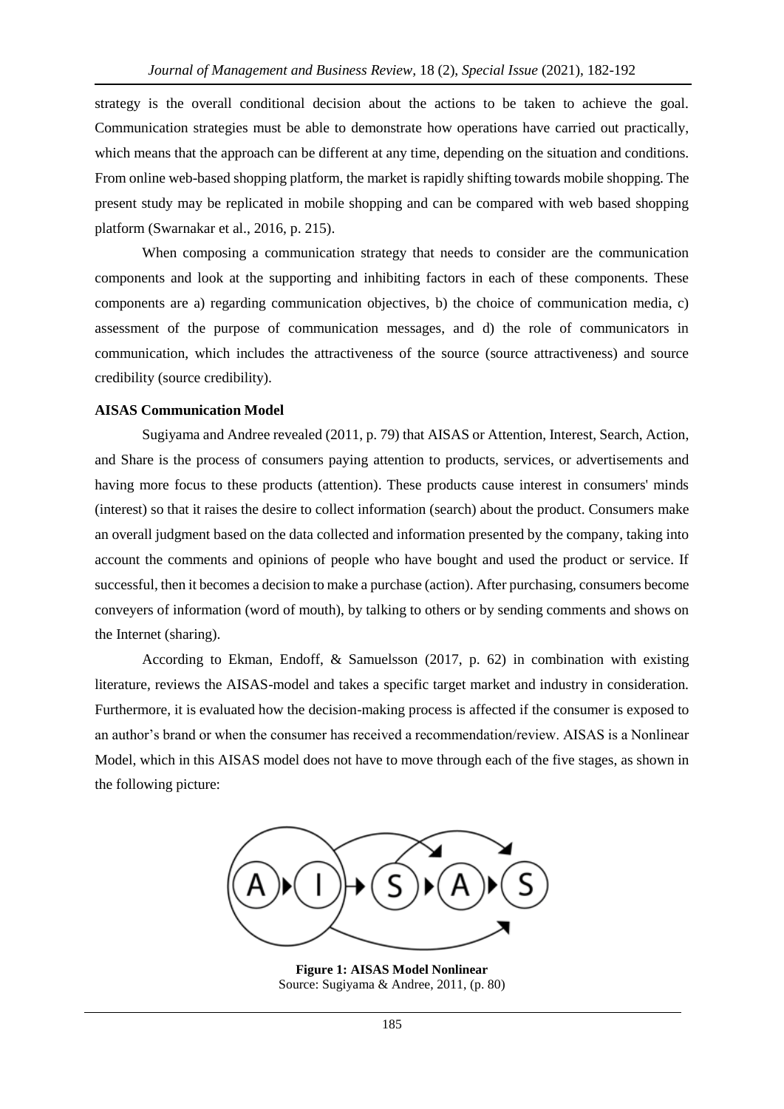strategy is the overall conditional decision about the actions to be taken to achieve the goal. Communication strategies must be able to demonstrate how operations have carried out practically, which means that the approach can be different at any time, depending on the situation and conditions. From online web-based shopping platform, the market is rapidly shifting towards mobile shopping. The present study may be replicated in mobile shopping and can be compared with web based shopping platform (Swarnakar et al., 2016, p. 215).

When composing a communication strategy that needs to consider are the communication components and look at the supporting and inhibiting factors in each of these components. These components are a) regarding communication objectives, b) the choice of communication media, c) assessment of the purpose of communication messages, and d) the role of communicators in communication, which includes the attractiveness of the source (source attractiveness) and source credibility (source credibility).

#### **AISAS Communication Model**

Sugiyama and Andree revealed (2011, p. 79) that AISAS or Attention, Interest, Search, Action, and Share is the process of consumers paying attention to products, services, or advertisements and having more focus to these products (attention). These products cause interest in consumers' minds (interest) so that it raises the desire to collect information (search) about the product. Consumers make an overall judgment based on the data collected and information presented by the company, taking into account the comments and opinions of people who have bought and used the product or service. If successful, then it becomes a decision to make a purchase (action). After purchasing, consumers become conveyers of information (word of mouth), by talking to others or by sending comments and shows on the Internet (sharing).

According to Ekman, Endoff, & Samuelsson (2017, p. 62) in combination with existing literature, reviews the AISAS-model and takes a specific target market and industry in consideration. Furthermore, it is evaluated how the decision-making process is affected if the consumer is exposed to an author's brand or when the consumer has received a recommendation/review. AISAS is a Nonlinear Model, which in this AISAS model does not have to move through each of the five stages, as shown in the following picture:



**Figure 1: AISAS Model Nonlinear**  Source: Sugiyama & Andree, 2011, (p. 80)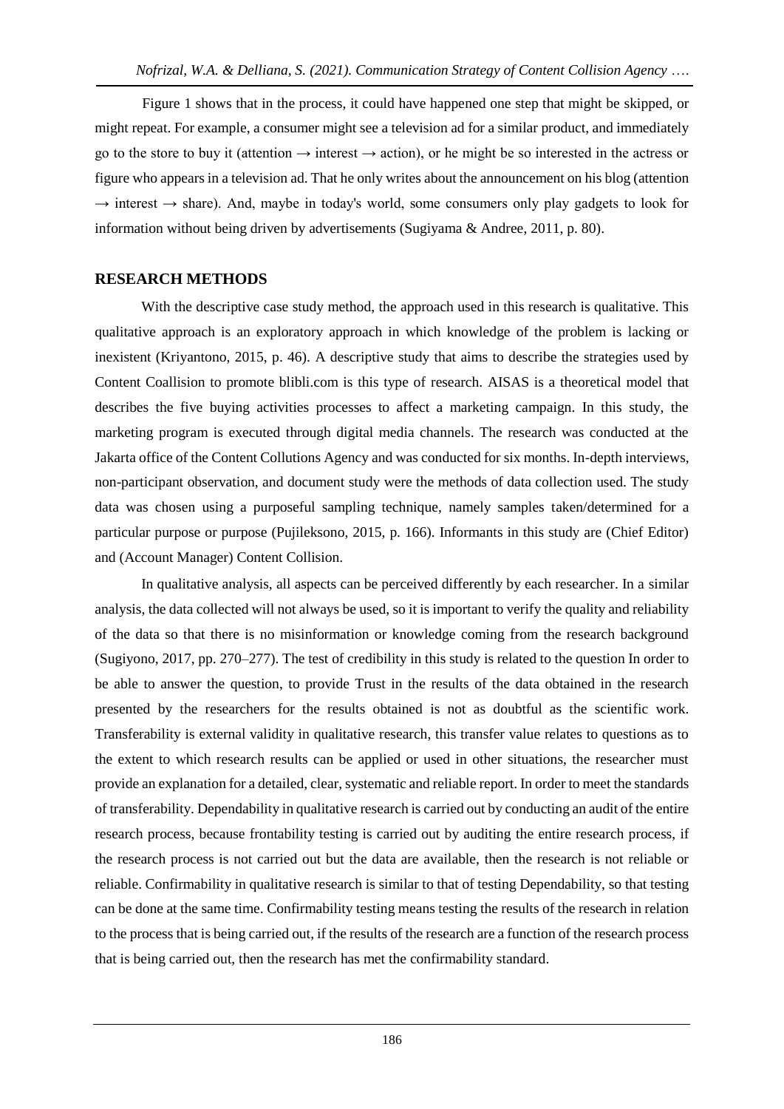Figure 1 shows that in the process, it could have happened one step that might be skipped, or might repeat. For example, a consumer might see a television ad for a similar product, and immediately go to the store to buy it (attention  $\rightarrow$  interest  $\rightarrow$  action), or he might be so interested in the actress or figure who appears in a television ad. That he only writes about the announcement on his blog (attention  $\rightarrow$  interest  $\rightarrow$  share). And, maybe in today's world, some consumers only play gadgets to look for information without being driven by advertisements (Sugiyama & Andree, 2011, p. 80).

# **RESEARCH METHODS**

With the descriptive case study method, the approach used in this research is qualitative. This qualitative approach is an exploratory approach in which knowledge of the problem is lacking or inexistent (Kriyantono, 2015, p. 46). A descriptive study that aims to describe the strategies used by Content Coallision to promote blibli.com is this type of research. AISAS is a theoretical model that describes the five buying activities processes to affect a marketing campaign. In this study, the marketing program is executed through digital media channels. The research was conducted at the Jakarta office of the Content Collutions Agency and was conducted for six months. In-depth interviews, non-participant observation, and document study were the methods of data collection used. The study data was chosen using a purposeful sampling technique, namely samples taken/determined for a particular purpose or purpose (Pujileksono, 2015, p. 166). Informants in this study are (Chief Editor) and (Account Manager) Content Collision.

In qualitative analysis, all aspects can be perceived differently by each researcher. In a similar analysis, the data collected will not always be used, so it is important to verify the quality and reliability of the data so that there is no misinformation or knowledge coming from the research background (Sugiyono, 2017, pp. 270–277). The test of credibility in this study is related to the question In order to be able to answer the question, to provide Trust in the results of the data obtained in the research presented by the researchers for the results obtained is not as doubtful as the scientific work. Transferability is external validity in qualitative research, this transfer value relates to questions as to the extent to which research results can be applied or used in other situations, the researcher must provide an explanation for a detailed, clear, systematic and reliable report. In order to meet the standards of transferability. Dependability in qualitative research is carried out by conducting an audit of the entire research process, because frontability testing is carried out by auditing the entire research process, if the research process is not carried out but the data are available, then the research is not reliable or reliable. Confirmability in qualitative research is similar to that of testing Dependability, so that testing can be done at the same time. Confirmability testing means testing the results of the research in relation to the process that is being carried out, if the results of the research are a function of the research process that is being carried out, then the research has met the confirmability standard.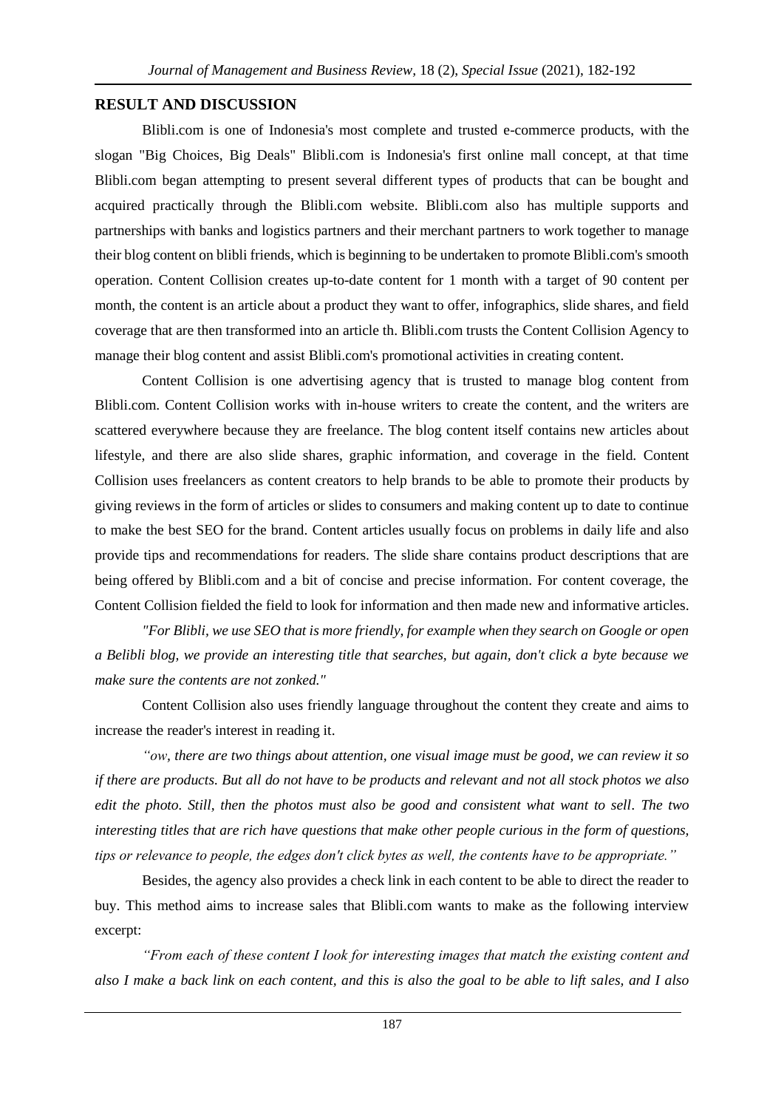#### **RESULT AND DISCUSSION**

Blibli.com is one of Indonesia's most complete and trusted e-commerce products, with the slogan "Big Choices, Big Deals" Blibli.com is Indonesia's first online mall concept, at that time Blibli.com began attempting to present several different types of products that can be bought and acquired practically through the Blibli.com website. Blibli.com also has multiple supports and partnerships with banks and logistics partners and their merchant partners to work together to manage their blog content on blibli friends, which is beginning to be undertaken to promote Blibli.com's smooth operation. Content Collision creates up-to-date content for 1 month with a target of 90 content per month, the content is an article about a product they want to offer, infographics, slide shares, and field coverage that are then transformed into an article th. Blibli.com trusts the Content Collision Agency to manage their blog content and assist Blibli.com's promotional activities in creating content.

Content Collision is one advertising agency that is trusted to manage blog content from Blibli.com. Content Collision works with in-house writers to create the content, and the writers are scattered everywhere because they are freelance. The blog content itself contains new articles about lifestyle, and there are also slide shares, graphic information, and coverage in the field. Content Collision uses freelancers as content creators to help brands to be able to promote their products by giving reviews in the form of articles or slides to consumers and making content up to date to continue to make the best SEO for the brand. Content articles usually focus on problems in daily life and also provide tips and recommendations for readers. The slide share contains product descriptions that are being offered by Blibli.com and a bit of concise and precise information. For content coverage, the Content Collision fielded the field to look for information and then made new and informative articles.

*"For Blibli, we use SEO that is more friendly, for example when they search on Google or open a Belibli blog, we provide an interesting title that searches, but again, don't click a byte because we make sure the contents are not zonked."*

Content Collision also uses friendly language throughout the content they create and aims to increase the reader's interest in reading it.

*"ow, there are two things about attention, one visual image must be good, we can review it so if there are products. But all do not have to be products and relevant and not all stock photos we also edit the photo. Still, then the photos must also be good and consistent what want to sell. The two interesting titles that are rich have questions that make other people curious in the form of questions, tips or relevance to people, the edges don't click bytes as well, the contents have to be appropriate."*

Besides, the agency also provides a check link in each content to be able to direct the reader to buy. This method aims to increase sales that Blibli.com wants to make as the following interview excerpt:

*"From each of these content I look for interesting images that match the existing content and also I make a back link on each content, and this is also the goal to be able to lift sales, and I also*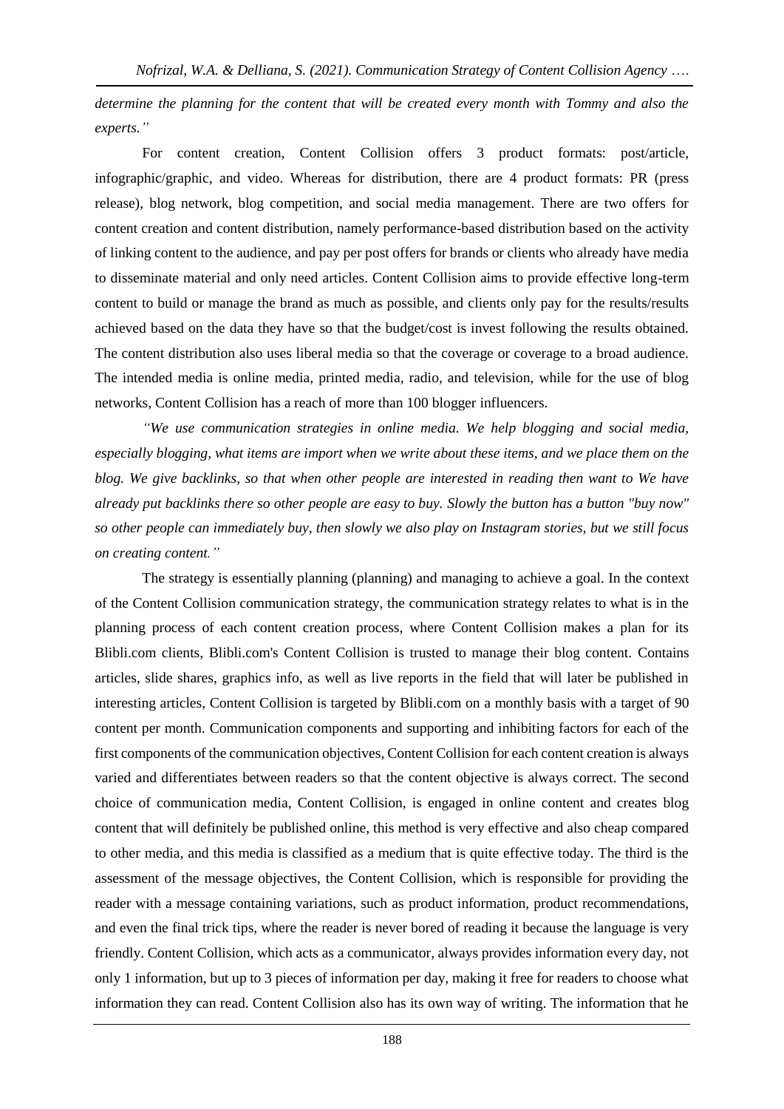*determine the planning for the content that will be created every month with Tommy and also the experts."*

For content creation, Content Collision offers 3 product formats: post/article, infographic/graphic, and video. Whereas for distribution, there are 4 product formats: PR (press release), blog network, blog competition, and social media management. There are two offers for content creation and content distribution, namely performance-based distribution based on the activity of linking content to the audience, and pay per post offers for brands or clients who already have media to disseminate material and only need articles. Content Collision aims to provide effective long-term content to build or manage the brand as much as possible, and clients only pay for the results/results achieved based on the data they have so that the budget/cost is invest following the results obtained. The content distribution also uses liberal media so that the coverage or coverage to a broad audience. The intended media is online media, printed media, radio, and television, while for the use of blog networks, Content Collision has a reach of more than 100 blogger influencers.

*"We use communication strategies in online media. We help blogging and social media, especially blogging, what items are import when we write about these items, and we place them on the blog. We give backlinks, so that when other people are interested in reading then want to We have already put backlinks there so other people are easy to buy. Slowly the button has a button "buy now" so other people can immediately buy, then slowly we also play on Instagram stories, but we still focus on creating content."*

The strategy is essentially planning (planning) and managing to achieve a goal. In the context of the Content Collision communication strategy, the communication strategy relates to what is in the planning process of each content creation process, where Content Collision makes a plan for its Blibli.com clients, Blibli.com's Content Collision is trusted to manage their blog content. Contains articles, slide shares, graphics info, as well as live reports in the field that will later be published in interesting articles, Content Collision is targeted by Blibli.com on a monthly basis with a target of 90 content per month. Communication components and supporting and inhibiting factors for each of the first components of the communication objectives, Content Collision for each content creation is always varied and differentiates between readers so that the content objective is always correct. The second choice of communication media, Content Collision, is engaged in online content and creates blog content that will definitely be published online, this method is very effective and also cheap compared to other media, and this media is classified as a medium that is quite effective today. The third is the assessment of the message objectives, the Content Collision, which is responsible for providing the reader with a message containing variations, such as product information, product recommendations, and even the final trick tips, where the reader is never bored of reading it because the language is very friendly. Content Collision, which acts as a communicator, always provides information every day, not only 1 information, but up to 3 pieces of information per day, making it free for readers to choose what information they can read. Content Collision also has its own way of writing. The information that he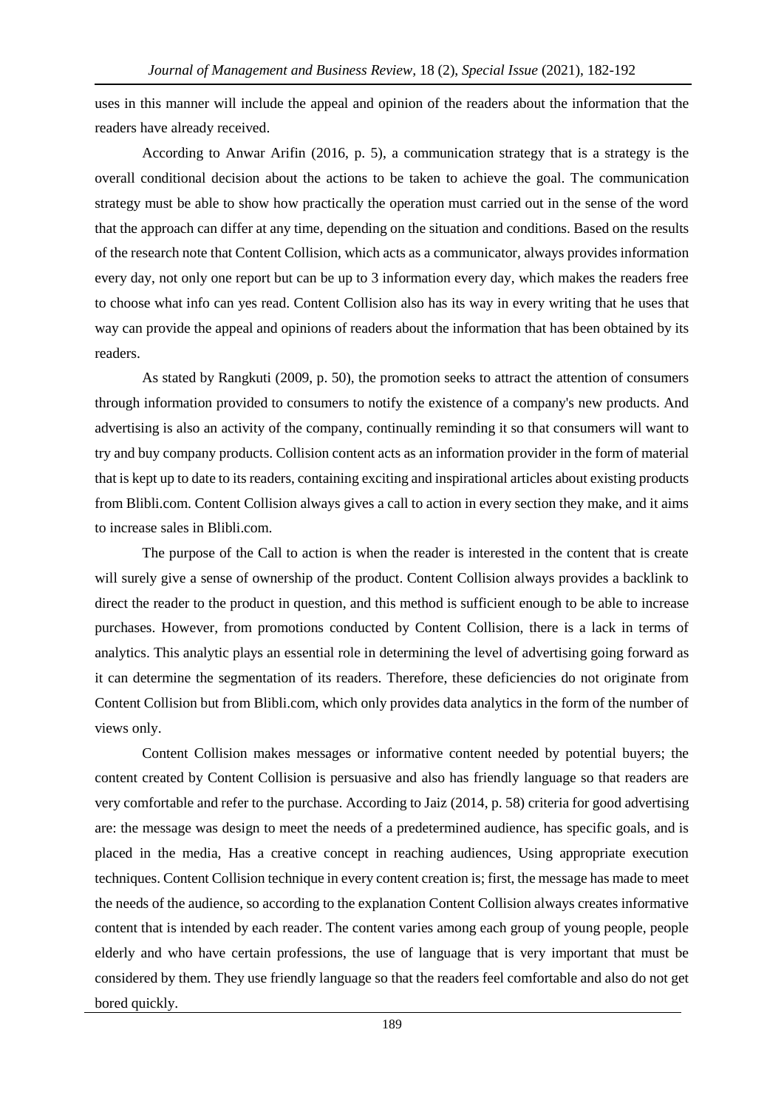uses in this manner will include the appeal and opinion of the readers about the information that the readers have already received.

According to Anwar Arifin (2016, p. 5), a communication strategy that is a strategy is the overall conditional decision about the actions to be taken to achieve the goal. The communication strategy must be able to show how practically the operation must carried out in the sense of the word that the approach can differ at any time, depending on the situation and conditions. Based on the results of the research note that Content Collision, which acts as a communicator, always provides information every day, not only one report but can be up to 3 information every day, which makes the readers free to choose what info can yes read. Content Collision also has its way in every writing that he uses that way can provide the appeal and opinions of readers about the information that has been obtained by its readers.

As stated by Rangkuti (2009, p. 50), the promotion seeks to attract the attention of consumers through information provided to consumers to notify the existence of a company's new products. And advertising is also an activity of the company, continually reminding it so that consumers will want to try and buy company products. Collision content acts as an information provider in the form of material that is kept up to date to its readers, containing exciting and inspirational articles about existing products from Blibli.com. Content Collision always gives a call to action in every section they make, and it aims to increase sales in Blibli.com.

The purpose of the Call to action is when the reader is interested in the content that is create will surely give a sense of ownership of the product. Content Collision always provides a backlink to direct the reader to the product in question, and this method is sufficient enough to be able to increase purchases. However, from promotions conducted by Content Collision, there is a lack in terms of analytics. This analytic plays an essential role in determining the level of advertising going forward as it can determine the segmentation of its readers. Therefore, these deficiencies do not originate from Content Collision but from Blibli.com, which only provides data analytics in the form of the number of views only.

Content Collision makes messages or informative content needed by potential buyers; the content created by Content Collision is persuasive and also has friendly language so that readers are very comfortable and refer to the purchase. According to Jaiz (2014, p. 58) criteria for good advertising are: the message was design to meet the needs of a predetermined audience, has specific goals, and is placed in the media, Has a creative concept in reaching audiences, Using appropriate execution techniques. Content Collision technique in every content creation is; first, the message has made to meet the needs of the audience, so according to the explanation Content Collision always creates informative content that is intended by each reader. The content varies among each group of young people, people elderly and who have certain professions, the use of language that is very important that must be considered by them. They use friendly language so that the readers feel comfortable and also do not get bored quickly.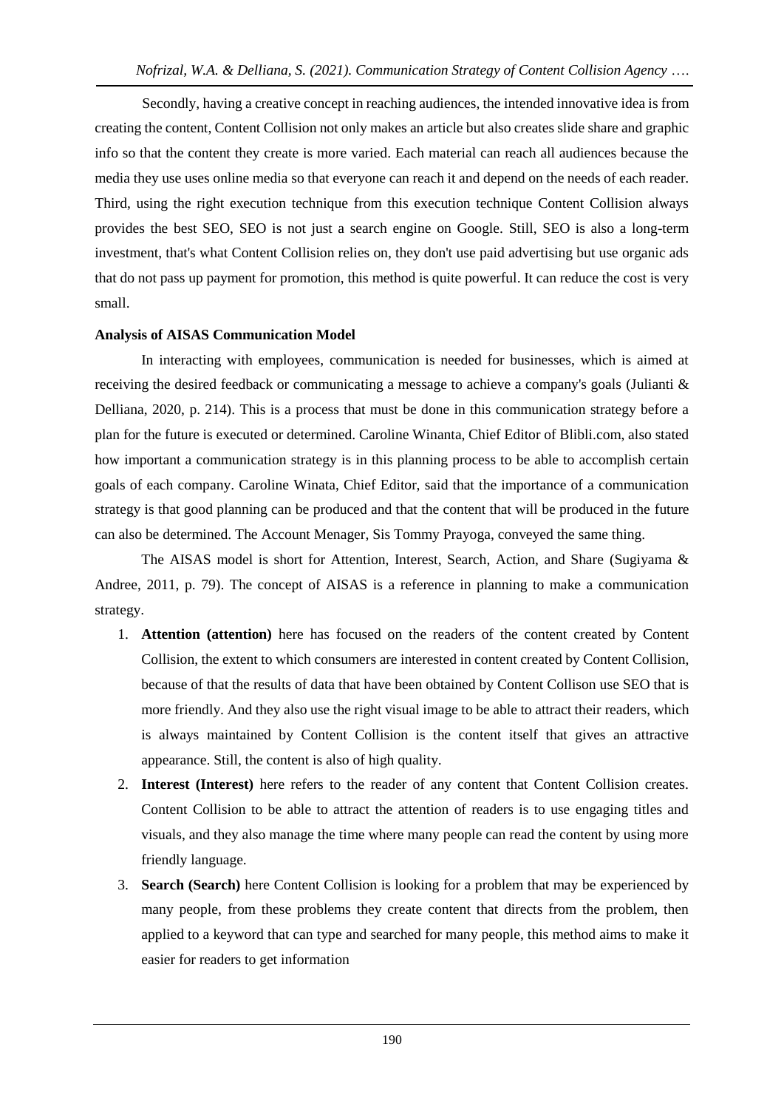Secondly, having a creative concept in reaching audiences, the intended innovative idea is from creating the content, Content Collision not only makes an article but also creates slide share and graphic info so that the content they create is more varied. Each material can reach all audiences because the media they use uses online media so that everyone can reach it and depend on the needs of each reader. Third, using the right execution technique from this execution technique Content Collision always provides the best SEO, SEO is not just a search engine on Google. Still, SEO is also a long-term investment, that's what Content Collision relies on, they don't use paid advertising but use organic ads that do not pass up payment for promotion, this method is quite powerful. It can reduce the cost is very small.

# **Analysis of AISAS Communication Model**

In interacting with employees, communication is needed for businesses, which is aimed at receiving the desired feedback or communicating a message to achieve a company's goals (Julianti & Delliana, 2020, p. 214). This is a process that must be done in this communication strategy before a plan for the future is executed or determined. Caroline Winanta, Chief Editor of Blibli.com, also stated how important a communication strategy is in this planning process to be able to accomplish certain goals of each company. Caroline Winata, Chief Editor, said that the importance of a communication strategy is that good planning can be produced and that the content that will be produced in the future can also be determined. The Account Menager, Sis Tommy Prayoga, conveyed the same thing.

The AISAS model is short for Attention, Interest, Search, Action, and Share (Sugiyama & Andree, 2011, p. 79). The concept of AISAS is a reference in planning to make a communication strategy.

- 1. **Attention (attention)** here has focused on the readers of the content created by Content Collision, the extent to which consumers are interested in content created by Content Collision, because of that the results of data that have been obtained by Content Collison use SEO that is more friendly. And they also use the right visual image to be able to attract their readers, which is always maintained by Content Collision is the content itself that gives an attractive appearance. Still, the content is also of high quality.
- 2. **Interest (Interest)** here refers to the reader of any content that Content Collision creates. Content Collision to be able to attract the attention of readers is to use engaging titles and visuals, and they also manage the time where many people can read the content by using more friendly language.
- 3. **Search (Search)** here Content Collision is looking for a problem that may be experienced by many people, from these problems they create content that directs from the problem, then applied to a keyword that can type and searched for many people, this method aims to make it easier for readers to get information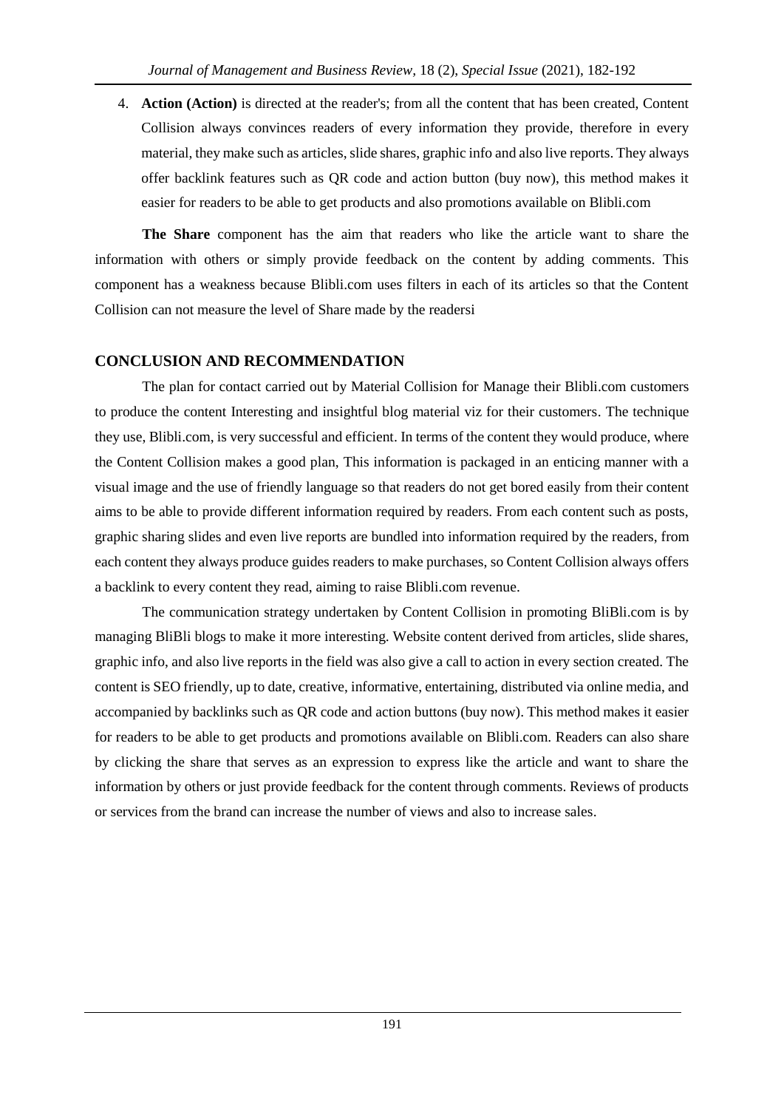4. **Action (Action)** is directed at the reader's; from all the content that has been created, Content Collision always convinces readers of every information they provide, therefore in every material, they make such as articles, slide shares, graphic info and also live reports. They always offer backlink features such as QR code and action button (buy now), this method makes it easier for readers to be able to get products and also promotions available on Blibli.com

**The Share** component has the aim that readers who like the article want to share the information with others or simply provide feedback on the content by adding comments. This component has a weakness because Blibli.com uses filters in each of its articles so that the Content Collision can not measure the level of Share made by the readersi

# **CONCLUSION AND RECOMMENDATION**

The plan for contact carried out by Material Collision for Manage their Blibli.com customers to produce the content Interesting and insightful blog material viz for their customers. The technique they use, Blibli.com, is very successful and efficient. In terms of the content they would produce, where the Content Collision makes a good plan, This information is packaged in an enticing manner with a visual image and the use of friendly language so that readers do not get bored easily from their content aims to be able to provide different information required by readers. From each content such as posts, graphic sharing slides and even live reports are bundled into information required by the readers, from each content they always produce guides readers to make purchases, so Content Collision always offers a backlink to every content they read, aiming to raise Blibli.com revenue.

The communication strategy undertaken by Content Collision in promoting BliBli.com is by managing BliBli blogs to make it more interesting. Website content derived from articles, slide shares, graphic info, and also live reports in the field was also give a call to action in every section created. The content is SEO friendly, up to date, creative, informative, entertaining, distributed via online media, and accompanied by backlinks such as QR code and action buttons (buy now). This method makes it easier for readers to be able to get products and promotions available on Blibli.com. Readers can also share by clicking the share that serves as an expression to express like the article and want to share the information by others or just provide feedback for the content through comments. Reviews of products or services from the brand can increase the number of views and also to increase sales.